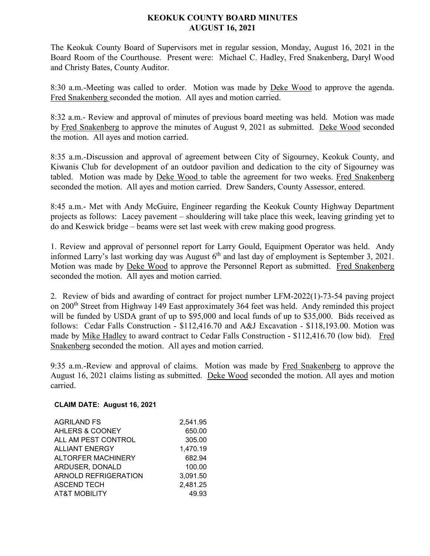## **KEOKUK COUNTY BOARD MINUTES AUGUST 16, 2021**

The Keokuk County Board of Supervisors met in regular session, Monday, August 16, 2021 in the Board Room of the Courthouse. Present were: Michael C. Hadley, Fred Snakenberg, Daryl Wood and Christy Bates, County Auditor.

8:30 a.m.-Meeting was called to order. Motion was made by Deke Wood to approve the agenda. Fred Snakenberg seconded the motion. All ayes and motion carried.

8:32 a.m.- Review and approval of minutes of previous board meeting was held. Motion was made by Fred Snakenberg to approve the minutes of August 9, 2021 as submitted. Deke Wood seconded the motion. All ayes and motion carried.

8:35 a.m.-Discussion and approval of agreement between City of Sigourney, Keokuk County, and Kiwanis Club for development of an outdoor pavilion and dedication to the city of Sigourney was tabled. Motion was made by Deke Wood to table the agreement for two weeks. Fred Snakenberg seconded the motion. All ayes and motion carried. Drew Sanders, County Assessor, entered.

8:45 a.m.- Met with Andy McGuire, Engineer regarding the Keokuk County Highway Department projects as follows: Lacey pavement – shouldering will take place this week, leaving grinding yet to do and Keswick bridge – beams were set last week with crew making good progress.

1. Review and approval of personnel report for Larry Gould, Equipment Operator was held. Andy informed Larry's last working day was August  $6<sup>th</sup>$  and last day of employment is September 3, 2021. Motion was made by Deke Wood to approve the Personnel Report as submitted. Fred Snakenberg seconded the motion. All ayes and motion carried.

2. Review of bids and awarding of contract for project number LFM-2022(1)-73-54 paving project on 200<sup>th</sup> Street from Highway 149 East approximately 364 feet was held. Andy reminded this project will be funded by USDA grant of up to \$95,000 and local funds of up to \$35,000. Bids received as follows: Cedar Falls Construction - \$112,416.70 and A&J Excavation - \$118,193.00. Motion was made by Mike Hadley to award contract to Cedar Falls Construction - \$112,416.70 (low bid). Fred Snakenberg seconded the motion. All ayes and motion carried.

9:35 a.m.-Review and approval of claims. Motion was made by Fred Snakenberg to approve the August 16, 2021 claims listing as submitted. Deke Wood seconded the motion. All ayes and motion carried.

## **CLAIM DATE: August 16, 2021**

| <b>AGRILAND FS</b>          | 2,541.95 |
|-----------------------------|----------|
| AHLERS & COONEY             | 650.00   |
| ALL AM PEST CONTROL         | 305.00   |
| <b>ALLIANT ENERGY</b>       | 1,470.19 |
| <b>ALTORFER MACHINERY</b>   | 682.94   |
| ARDUSER, DONALD             | 100.00   |
| <b>ARNOLD REFRIGERATION</b> | 3,091.50 |
| <b>ASCEND TECH</b>          | 2,481.25 |
| <b>AT&amp;T MOBILITY</b>    | 49.93    |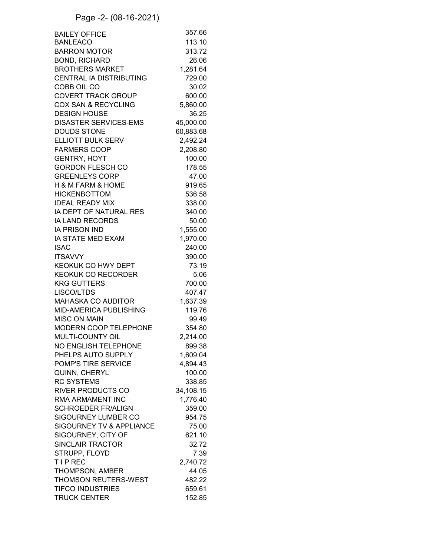## Page -2- (08-16-2021)

| <b>BAILEY OFFICE</b>           | 357.66    |
|--------------------------------|-----------|
| <b>BANLEACO</b>                | 113.10    |
| <b>BARRON MOTOR</b>            | 313.72    |
| <b>BOND, RICHARD</b>           | 26.06     |
| <b>BROTHERS MARKET</b>         | 1,281.64  |
| <b>CENTRAL IA DISTRIBUTING</b> | 729.00    |
| COBB OIL CO                    | 30.02     |
| <b>COVERT TRACK GROUP</b>      | 600.00    |
| <b>COX SAN &amp; RECYCLING</b> | 5,860.00  |
| <b>DESIGN HOUSE</b>            | 36.25     |
| <b>DISASTER SERVICES-EMS</b>   | 45,000.00 |
| <b>DOUDS STONE</b>             | 60,883.68 |
| <b>ELLIOTT BULK SERV</b>       | 2,492.24  |
| <b>FARMERS COOP</b>            | 2,208.80  |
| <b>GENTRY, HOYT</b>            | 100.00    |
| <b>GORDON FLESCH CO</b>        | 178.55    |
| <b>GREENLEYS CORP</b>          | 47.00     |
| H & M FARM & HOME              | 919.65    |
| <b>HICKENBOTTOM</b>            | 536.58    |
| <b>IDEAL READY MIX</b>         | 338.00    |
| IA DEPT OF NATURAL RES         | 340.00    |
| <b>IA LAND RECORDS</b>         | 50.00     |
| <b>IA PRISON IND</b>           | 1,555.00  |
| IA STATE MED EXAM              | 1,970.00  |
| <b>ISAC</b>                    | 240.00    |
| <b>ITSAVVY</b>                 | 390.00    |
| KEOKUK CO HWY DEPT             | 73.19     |
| <b>KEOKUK CO RECORDER</b>      | 5.06      |
| <b>KRG GUTTERS</b>             | 700.00    |
| LISCO/LTDS                     | 407.47    |
| <b>MAHASKA CO AUDITOR</b>      | 1,637.39  |
| <b>MID-AMERICA PUBLISHING</b>  | 119.76    |
| <b>MISC ON MAIN</b>            | 99.49     |
| MODERN COOP TELEPHONE          | 354.80    |
| MULTI-COUNTY OIL               | 2,214.00  |
| NO ENGLISH TELEPHONE           | 899.38    |
| PHELPS AUTO SUPPLY             | 1,609.04  |
| POMP'S TIRE SERVICE            | 4,894.43  |
| QUINN, CHERYL                  | 100.00    |
| <b>RC SYSTEMS</b>              | 338.85    |
| <b>RIVER PRODUCTS CO</b>       | 34,108.15 |
| RMA ARMAMENT INC               | 1,776.40  |
| <b>SCHROEDER FR/ALIGN</b>      | 359.00    |
| <b>SIGOURNEY LUMBER CO</b>     | 954.75    |
| SIGOURNEY TV & APPLIANCE       | 75.00     |
| SIGOURNEY, CITY OF             | 621.10    |
| <b>SINCLAIR TRACTOR</b>        | 32.72     |
| STRUPP, FLOYD                  | 7.39      |
| <b>TIPREC</b>                  | 2,740.72  |
| THOMPSON, AMBER                | 44.05     |
| <b>THOMSON REUTERS-WEST</b>    | 482.22    |
| <b>TIFCO INDUSTRIES</b>        | 659.61    |
| <b>TRUCK CENTER</b>            | 152.85    |